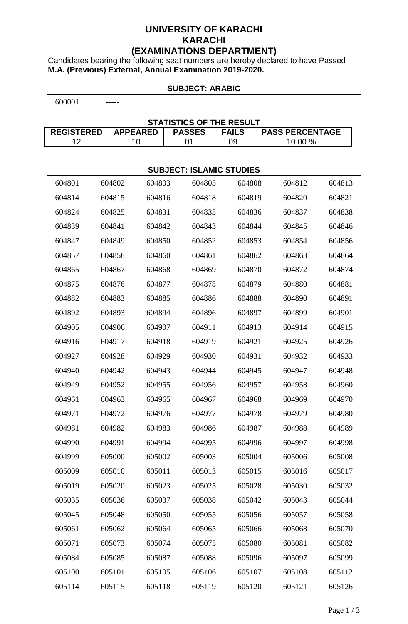# **UNIVERSITY OF KARACHI KARACHI (EXAMINATIONS DEPARTMENT)**

Candidates bearing the following seat numbers are hereby declared to have Passed **M.A. (Previous) External, Annual Examination 2019-2020.**

# **SUBJECT: ARABIC**

-----

#### **STATISTICS OF THE RESULT**

| REGISTERED   APPEARED | <b>PASSES</b> | <b>FAILS</b> | <b>PASS PERCENTAGE</b> |
|-----------------------|---------------|--------------|------------------------|
|                       |               | 09           | 10.00 %                |

| <b>SUBJECT: ISLAMIC STUDIES</b> |        |        |        |        |        |        |  |  |
|---------------------------------|--------|--------|--------|--------|--------|--------|--|--|
| 604801                          | 604802 | 604803 | 604805 | 604808 | 604812 | 604813 |  |  |
| 604814                          | 604815 | 604816 | 604818 | 604819 | 604820 | 604821 |  |  |
| 604824                          | 604825 | 604831 | 604835 | 604836 | 604837 | 604838 |  |  |
| 604839                          | 604841 | 604842 | 604843 | 604844 | 604845 | 604846 |  |  |
| 604847                          | 604849 | 604850 | 604852 | 604853 | 604854 | 604856 |  |  |
| 604857                          | 604858 | 604860 | 604861 | 604862 | 604863 | 604864 |  |  |
| 604865                          | 604867 | 604868 | 604869 | 604870 | 604872 | 604874 |  |  |
| 604875                          | 604876 | 604877 | 604878 | 604879 | 604880 | 604881 |  |  |
| 604882                          | 604883 | 604885 | 604886 | 604888 | 604890 | 604891 |  |  |
| 604892                          | 604893 | 604894 | 604896 | 604897 | 604899 | 604901 |  |  |
| 604905                          | 604906 | 604907 | 604911 | 604913 | 604914 | 604915 |  |  |
| 604916                          | 604917 | 604918 | 604919 | 604921 | 604925 | 604926 |  |  |
| 604927                          | 604928 | 604929 | 604930 | 604931 | 604932 | 604933 |  |  |
| 604940                          | 604942 | 604943 | 604944 | 604945 | 604947 | 604948 |  |  |
| 604949                          | 604952 | 604955 | 604956 | 604957 | 604958 | 604960 |  |  |
| 604961                          | 604963 | 604965 | 604967 | 604968 | 604969 | 604970 |  |  |
| 604971                          | 604972 | 604976 | 604977 | 604978 | 604979 | 604980 |  |  |
| 604981                          | 604982 | 604983 | 604986 | 604987 | 604988 | 604989 |  |  |
| 604990                          | 604991 | 604994 | 604995 | 604996 | 604997 | 604998 |  |  |
| 604999                          | 605000 | 605002 | 605003 | 605004 | 605006 | 605008 |  |  |
| 605009                          | 605010 | 605011 | 605013 | 605015 | 605016 | 605017 |  |  |
| 605019                          | 605020 | 605023 | 605025 | 605028 | 605030 | 605032 |  |  |
| 605035                          | 605036 | 605037 | 605038 | 605042 | 605043 | 605044 |  |  |
| 605045                          | 605048 | 605050 | 605055 | 605056 | 605057 | 605058 |  |  |
| 605061                          | 605062 | 605064 | 605065 | 605066 | 605068 | 605070 |  |  |
| 605071                          | 605073 | 605074 | 605075 | 605080 | 605081 | 605082 |  |  |
| 605084                          | 605085 | 605087 | 605088 | 605096 | 605097 | 605099 |  |  |
| 605100                          | 605101 | 605105 | 605106 | 605107 | 605108 | 605112 |  |  |
| 605114                          | 605115 | 605118 | 605119 | 605120 | 605121 | 605126 |  |  |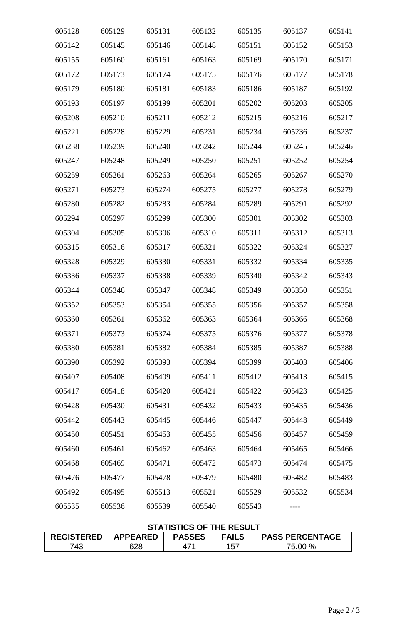| 605128 | 605129 | 605131 | 605132 | 605135 | 605137 | 605141 |
|--------|--------|--------|--------|--------|--------|--------|
| 605142 | 605145 | 605146 | 605148 | 605151 | 605152 | 605153 |
| 605155 | 605160 | 605161 | 605163 | 605169 | 605170 | 605171 |
| 605172 | 605173 | 605174 | 605175 | 605176 | 605177 | 605178 |
| 605179 | 605180 | 605181 | 605183 | 605186 | 605187 | 605192 |
| 605193 | 605197 | 605199 | 605201 | 605202 | 605203 | 605205 |
| 605208 | 605210 | 605211 | 605212 | 605215 | 605216 | 605217 |
| 605221 | 605228 | 605229 | 605231 | 605234 | 605236 | 605237 |
| 605238 | 605239 | 605240 | 605242 | 605244 | 605245 | 605246 |
| 605247 | 605248 | 605249 | 605250 | 605251 | 605252 | 605254 |
| 605259 | 605261 | 605263 | 605264 | 605265 | 605267 | 605270 |
| 605271 | 605273 | 605274 | 605275 | 605277 | 605278 | 605279 |
| 605280 | 605282 | 605283 | 605284 | 605289 | 605291 | 605292 |
| 605294 | 605297 | 605299 | 605300 | 605301 | 605302 | 605303 |
| 605304 | 605305 | 605306 | 605310 | 605311 | 605312 | 605313 |
| 605315 | 605316 | 605317 | 605321 | 605322 | 605324 | 605327 |
| 605328 | 605329 | 605330 | 605331 | 605332 | 605334 | 605335 |
| 605336 | 605337 | 605338 | 605339 | 605340 | 605342 | 605343 |
| 605344 | 605346 | 605347 | 605348 | 605349 | 605350 | 605351 |
| 605352 | 605353 | 605354 | 605355 | 605356 | 605357 | 605358 |
| 605360 | 605361 | 605362 | 605363 | 605364 | 605366 | 605368 |
| 605371 | 605373 | 605374 | 605375 | 605376 | 605377 | 605378 |
| 605380 | 605381 | 605382 | 605384 | 605385 | 605387 | 605388 |
| 605390 | 605392 | 605393 | 605394 | 605399 | 605403 | 605406 |
| 605407 | 605408 | 605409 | 605411 | 605412 | 605413 | 605415 |
| 605417 | 605418 | 605420 | 605421 | 605422 | 605423 | 605425 |
| 605428 | 605430 | 605431 | 605432 | 605433 | 605435 | 605436 |
| 605442 | 605443 | 605445 | 605446 | 605447 | 605448 | 605449 |
| 605450 | 605451 | 605453 | 605455 | 605456 | 605457 | 605459 |
| 605460 | 605461 | 605462 | 605463 | 605464 | 605465 | 605466 |
| 605468 | 605469 | 605471 | 605472 | 605473 | 605474 | 605475 |
| 605476 | 605477 | 605478 | 605479 | 605480 | 605482 | 605483 |
| 605492 | 605495 | 605513 | 605521 | 605529 | 605532 | 605534 |
| 605535 | 605536 | 605539 | 605540 | 605543 |        |        |

# **STATISTICS OF THE RESULT**

| <b>REGISTERED</b> | <b>APPEARED</b> | <b>PASSES</b> | FAILS | <b>PASS PERCENTAGE</b> |
|-------------------|-----------------|---------------|-------|------------------------|
| 743               | 628             |               | 157   | 75.00 %                |